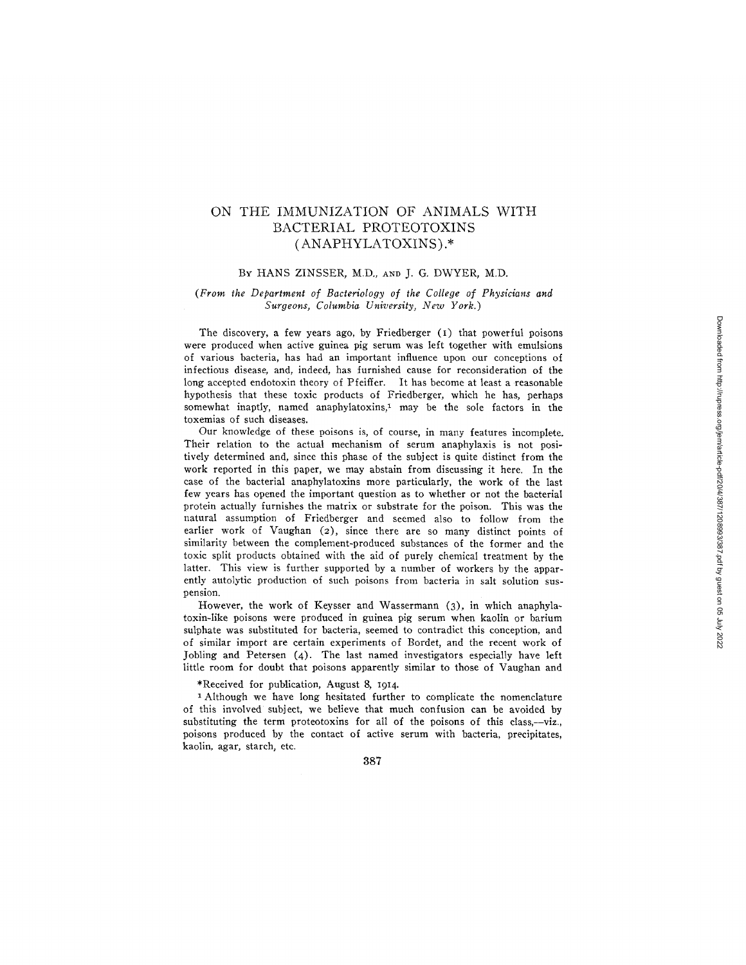# ON THE IMMUNIZATION OF ANIMALS WITH BACTERIAL PROTEOTOXINS (ANAPHYLATOXINS).\*

#### BY HANS ZINSSER, M.D., ANn J. G. DWYER, M.D.

## *(From the Department of Bacteriology of the College of Physicians and Surgeons, Columbia University, New York.)*

The discovery, a few years ago, by Friedberger (I) that powerful poisons were produced when active guinea pig serum was left together with emulsions of various bacteria, has had an important influence upon our conceptions of infectious disease, and, indeed, has furnished cause for reconsideration of the long accepted endotoxin theory of Pfeiffer. It has become at least a reasonable hypothesis that these toxic products of Friedberger, which he has, perhaps somewhat inaptly, named anaphylatoxins, $<sup>1</sup>$  may be the sole factors in the</sup> toxemias of such diseases.

Our knowledge of these poisons is, of course, in many features incomple¢e. Their relation to the actual mechanism of serum anaphylaxis is not positively determined and, since this phase of the subject is quite distinct from the work reported in this paper, we may abstain from discussing it here. In the case of the bacterial anaphylatoxins more particularly, the work of the last few years has opened the important question as to whether or not the bacterial protein actually furnishes the matrix or substrate for the poison. This was the natural assumption of Friedberger and seemed also to follow from the earlier work of Vaughan (2), since there are so many distinct points of similarity between the complement-produced substances of the former and the toxic split products obtained with the aid of purely chemical treatment by the latter. This view is further supported by a number of workers by the apparently autolytic production of such poisons *from* bacteria in salt solution suspension.

However, the work of Keysser and Wassermann (3), in which anaphylatoxin-Iike poisons were produced in guinea pig serum when kaolin or barium sulphate was substituted for bacteria, seemed to contradict this conception, and of similar import are certain experiments of Border, and the recent work of Jobling and Petersen (4). The last named investigators especially have left little room for doubt that poisons apparently similar to those of Vaughan and

\*Received for publication, August 8, I914.

<sup>1</sup> Although we have long hesitated further to complicate the nomenclature of this involved subject, we believe that much confusion can be avoided by substituting the term proteotoxins for all of the poisons of this class,--viz., poisons produced by the contact of active serum with bacteria, precipitates, kaolin, agar, starch, etc.

387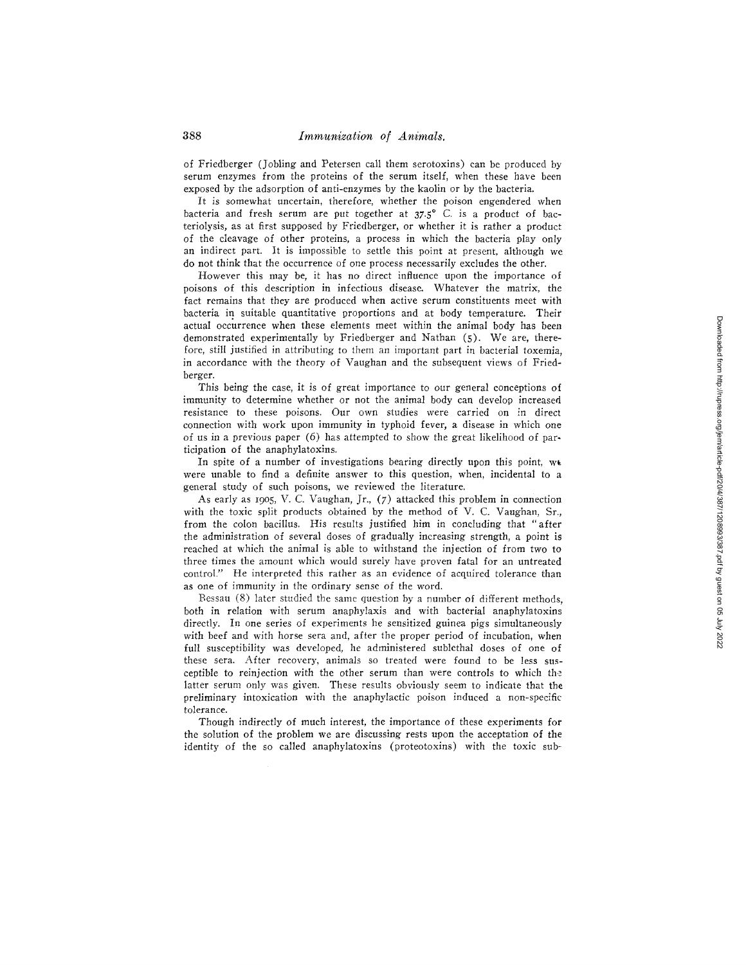of Friedberger (Jobling and Petersen call them serotoxins) can be produced by serum enzymes from the proteins of the serum itself, when these have been exposed by the adsorption of anti-enzymes by the kaolin or by the bacteria.

It is somewhat uncertain, therefore, whether the poison engendered when bacteria and fresh serum are put together at 37.5 ° C. is a product of bacteriolysis, as at first supposed by Friedberger, or whether it is rather a product of the cleavage of other proteins, a process in which the bacteria play only an indirect part. It is impossible to settle this point at present, although we do not think that the occurrence of one process necessarily excludes the other.

However this may be, it has no direct influence upon the importance of poisons of this description in infectious disease. Whatever the matrix, the fact remains that they are produced when active serum constituents meet with bacteria in suitable quantitative proportions and at body temperature. Their actual occurrence when these elements meet within the animal body has been demonstrated experimentally by Friedberger and Nathan (5). We are, therefore, still justified in attributing to them an important part in bacterial toxemia, in accordance with the theory of Vaughan and the subsequent views of Friedberger.

This being the case, it is of great importance to our general conceptions of immunity to determine whether or not the animal body can develop increased resistance to these poisons. Our own studies were carried on in direct connection with work upon immunity in typhoid fever, a disease in which one of us in a previous paper (6) has attempted to show the great likelihood of participation of the anaphylatoxins.

In spite of a number of investigations bearing directly upon this point, wt were unable to find a definite answer to this question, when, incidental to a general study of such poisons, we reviewed the literature.

As early as I9o5, V. C. Vaughan, Jr., (7) attacked this problem in connection with the toxic split products obtained by the method of V. C. Vaughan, Sr., from the colon bacillus. His results justified him in concluding that "after the administration of several doses of gradually increasing strength, a point is reached at which the animal is able to withstand the injection of from two to three times the amount which would surely have proven fatal for an untreated control." He interpreted this rather as an evidence of acquired tolerance than as one of immunity in the ordinary sense of the word.

Bessau (8) later studied the same question by a number of different methods, both in relation with serum anaphylaxis and with bacterial anaphylatoxins directly. In one series of experiments he sensitized guinea pigs simultaneously with beef and with horse sera and, after the proper period of incubation, when full susceptibility was developed, he administered sublethal doses of one of these sera. After recovery, animals so treated were found to be less susceptible to reinjeetion with the other serum than were controls to which the latter serum only was given. These results obviously seem to indicate that the preliminary intoxication with the anaphylactic poison induced a non-specific tolerance.

Though indirectly of much interest, the importance of these experiments for the solution of the problem we are discussing rests upon the acceptation of the identity of the so called anaphylatoxins (proteotoxins) with the toxic sub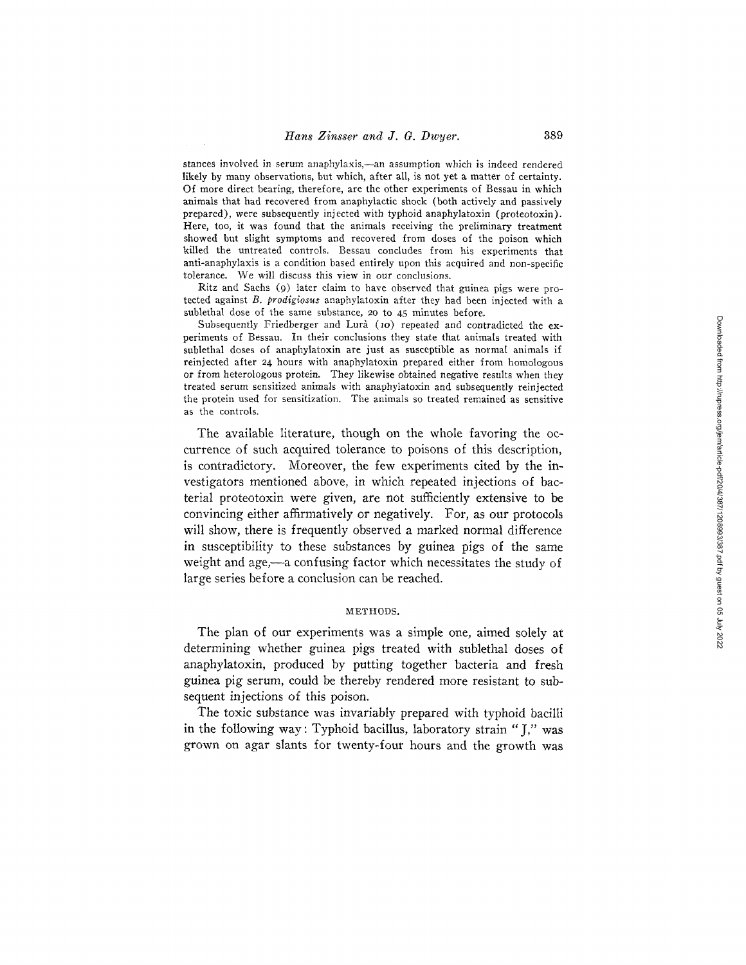stances involved in serum anaphylaxis,—an assumption which is indeed rendered likely by many observations, but which, after all, is not yet a matter of certainty. Of more direct bearing, therefore, are the other experiments of Bessau in which animals that had recovered from anaphylactic shock (both actively and passively prepared), were subsequently injected with typhoid anaphylatoxin (proteotoxin). Here, too, it was found that the animals receiving the preliminary treatment showed but slight symptoms and recovered from doses of the poison which killed the untreated controls. Bessau concludes from his experiments that anti-anaphylaxis is a condition based entirely upon this acquired and non-specific tolerance. We will discuss this view in our conclusions.

Ritz and Sachs (9) later claim to have observed that guinea pigs were protected against *B. prodlgiosus* anaphylatoxin after they had been injected with a sublethal dose of the same substance, 2o to 45 minutes before.

Subsequently Friedberger and Lur& (IO) repeated and contradicted the experiments of Bessau. In their conclusions they state that animals treated with sublethal doses of anaphylatoxin are just as susceptible as normal animals if reinjected after 24 hours with anaphylatoxin prepared either from homologous or from heterologous protein. They likewise obtained negative results when they treated serum sensitized animals with anaphylatoxin and subsequently reinjected the protein used for sensitization. The animals so treated remained as sensitive as the controls.

The available literature, though on the whole favoring the occurrence of such acquired tolerance to poisons of this description, is contradictory. Moreover, the few experiments cited by the investigators mentioned above, in which repeated injections of bacterial proteotoxin were given, are not sufficiently extensive to be convincing either affirmatively or negatively. For, as our protocols will show, there is frequently observed a marked normal difference in susceptibility to these substances by guinea pigs of the same weight and age,—a confusing factor which necessitates the study of large series before a conclusion can be reached.

#### METHODS.

The plan of our experiments was a simple one, aimed solely at determining whether guinea pigs treated with sublethal doses of anaphylatoxin, produced by putting together bacteria and fresh guinea pig serum, could be thereby rendered more resistant to subsequent injections of this poison.

The toxic substance was invariably prepared with typhoid bacilli in the following way: Typhoid bacillus, laboratory strain "J," was grown on agar slants for twenty-four hours and the growth was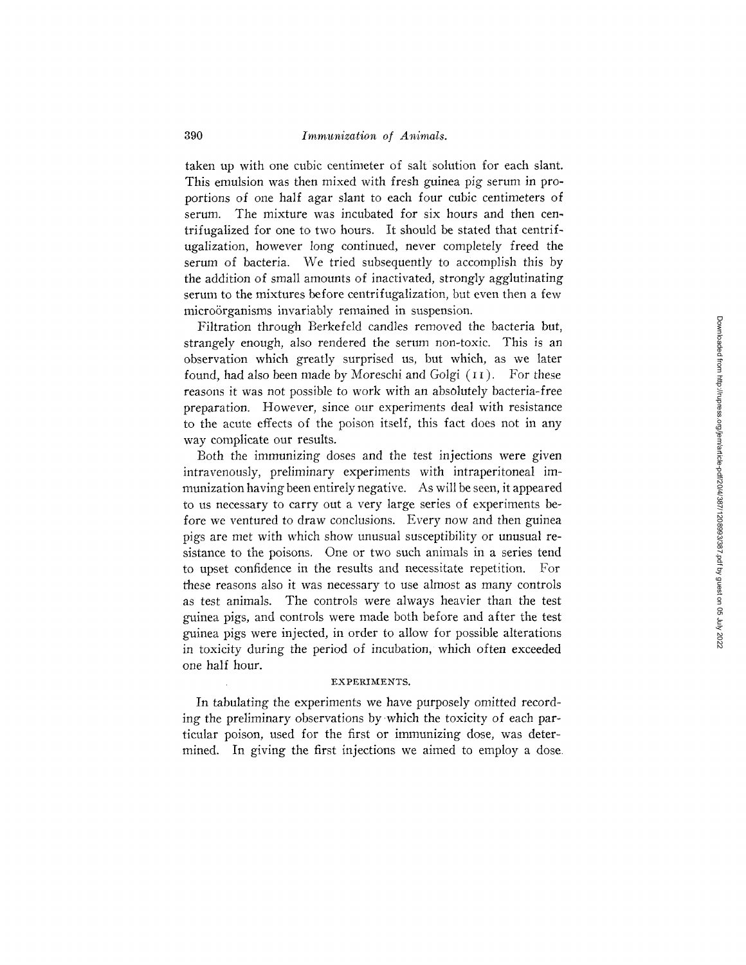taken up with one cubic centimeter of salt solution for each slant. This emulsion was then mixed with fresh guinea pig serum in proportions of one half agar slant to each four cubic centimeters of serum. The mixture was incubated for six hours and then centrifugalized for one to two hours. It should be stated that centrifugalization, however long continued, never completely freed the serum of bacteria. We tried subsequently to accomplish this by the addition of small amounts of inactivated, strongly agglutinating serum to the mixtures before centrifugalization, but even then a few microörganisms invariably remained in suspension.

Filtration through Berkefeld candles removed the bacteria *but,*  strangely enough, also rendered the serum non-toxic. This is an observation which greatly surprised us, but which, as we later found, had also been made by Moreschi and Golgi  $(11)$ . For these reasons it was not possible to work with an absolutely bacteria-free preparation. However, since our experiments deal with resistance to the acute effects of the poison itself, this fact does not in any way complicate our results.

Both the immunizing doses and the test injections were given intravenously, preliminary experiments with intraperitoneal immunization having been entirely negative. As will be seen, it appeared to us necessary to carry out a very large series of experiments before we ventured to draw conclusions. Every now and then guinea pigs are met with which show unusual susceptibility or unusual resistance to the poisons. One or two such animals in a series tend to upset confidence in the results and necessitate repetition. For these reasons also it was necessary to use almost as many controls as test animals. The controls were always heavier than the test guinea pigs, and controls were made both before and after the test guinea pigs were injected, in order to allow for possible alterations in toxicity during the period of incubation, which often exceeded one half hour.

#### EXPERIMENTS.

In tabulating the experiments we have purposely omitted recording the preliminary observations by which the toxicity of each particular poison, used for the first or immunizing dose, was determined. In giving the first injections we aimed to employ a dose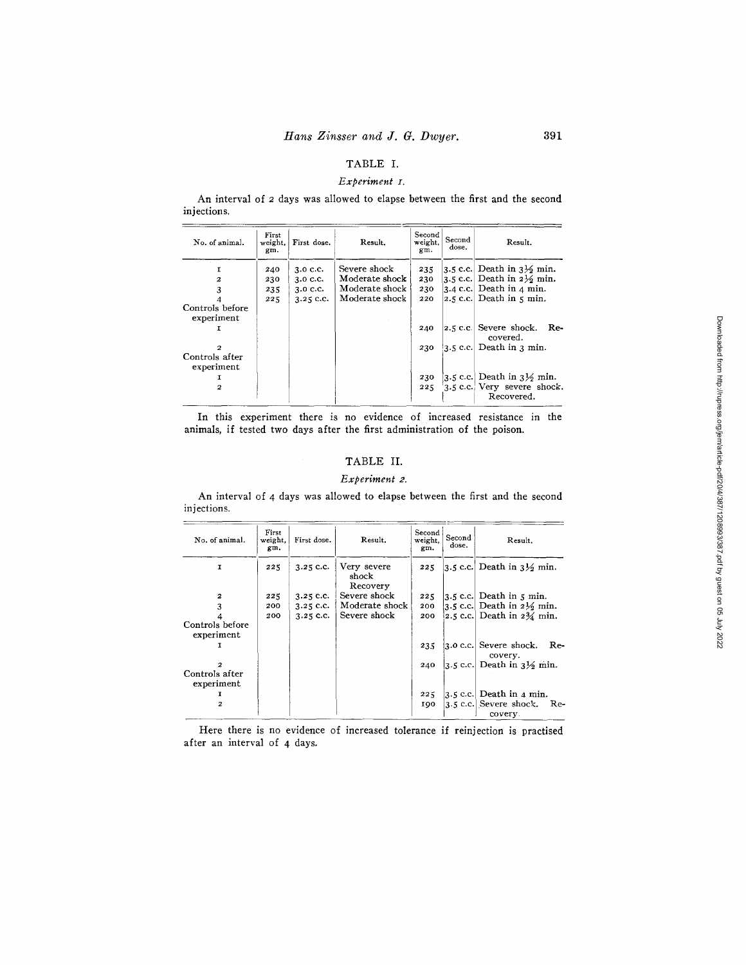# TABLE I.

# *Experiment z.*

An interval of 2 days was allowed to elapse between the first and the second injections.

| No. of animal.                | First<br>weight,<br>gm. | First dose.   | Result.        | Second<br>weight,<br>gm. | Second<br>dose. | Result.                                               |
|-------------------------------|-------------------------|---------------|----------------|--------------------------|-----------------|-------------------------------------------------------|
| I                             | 240                     | 3.0 c.c.      | Severe shock   | 235                      |                 | $3.5$ c.c. Death in $3\frac{1}{2}$ min.               |
| $\overline{a}$                | 230                     | $3.0$ c.c.    | Moderate shock | 230                      |                 | 3.5 c.c. Death in $2\frac{1}{2}$ min.                 |
|                               | 235                     | $3.0 \, C.C.$ | Moderate shock | 230                      |                 | $3.4$ c.c. Death in 4 min.                            |
|                               | 225                     | $3.25$ c.c.   | Moderate shock | 220                      |                 | $ 2.5 \text{ c.c.} $ Death in $\zeta$ min.            |
| Controls before<br>experiment |                         |               |                |                          |                 |                                                       |
|                               |                         |               |                | 240                      |                 | $ 2.5$ c.c. Severe shock.<br>-Re<br>covered.          |
| 2                             |                         |               |                | 230                      |                 | $\left 3.5 \right $ c.c. Death in 3 min.              |
| Controls after<br>experiment  |                         |               |                |                          |                 |                                                       |
| I                             |                         |               |                | 230                      |                 | $\left 3.5 \right $ c.c. Death in $3\frac{1}{3}$ min. |
| 2                             |                         |               |                | 225                      |                 | '3.5 c.c. Very severe shock.<br>Recovered.            |

In this experiment there is no evidence of increased resistance in the animals, if tested two days after the first administration of the poison.

# TABLE II.

## *Experiment 2.*

An interval of 4 days was allowed to elapse between the first and the second injections.

| No. of animal.                | First<br>weight.<br>gm. | First dose. | Result.                          | Second<br>weight,<br>gm. | Second<br>dose. | Result.                                   |
|-------------------------------|-------------------------|-------------|----------------------------------|--------------------------|-----------------|-------------------------------------------|
| I                             | 225                     | $3.25$ C.C. | Very severe<br>shock<br>Recovery | 225                      |                 | 3.5 c.c. Death in $3\frac{1}{2}$ min.     |
| 2                             | 225                     | $3.25$ c.c. | Severe shock                     | 225                      |                 | $ 3.5 \text{ c.c.} $ Death in 5 min.      |
| 3                             | 200                     | $3.25$ c.c. | Moderate shock                   | 200                      |                 | 3.5 c.c. Death in $2\frac{1}{2}$ min.     |
|                               | 200                     | $3.25$ C.C. | Severe shock                     | 200                      |                 | 2.5 c.c. Death in $2\frac{3}{4}$ min.     |
| Controls before<br>experiment |                         |             |                                  |                          |                 |                                           |
| 1                             |                         |             |                                  | 235                      |                 | 3.0 c.c. Severe shock.<br>Re-<br>covery.  |
| $\overline{2}$                |                         |             |                                  | 240                      |                 | $ 3.5$ c.c. Death in $3\frac{1}{2}$ min.  |
| Controls after<br>experiment  |                         |             |                                  |                          |                 |                                           |
| I                             |                         |             |                                  | 225                      |                 | 3.5 c.c.  Death in 4 min.                 |
| 2                             |                         |             |                                  | 100                      |                 | 3.5 c.c. Severe shock.<br>- Re<br>covery. |

Here there is no evidence of increased tolerance if reinjection is practised after an interval of 4 days,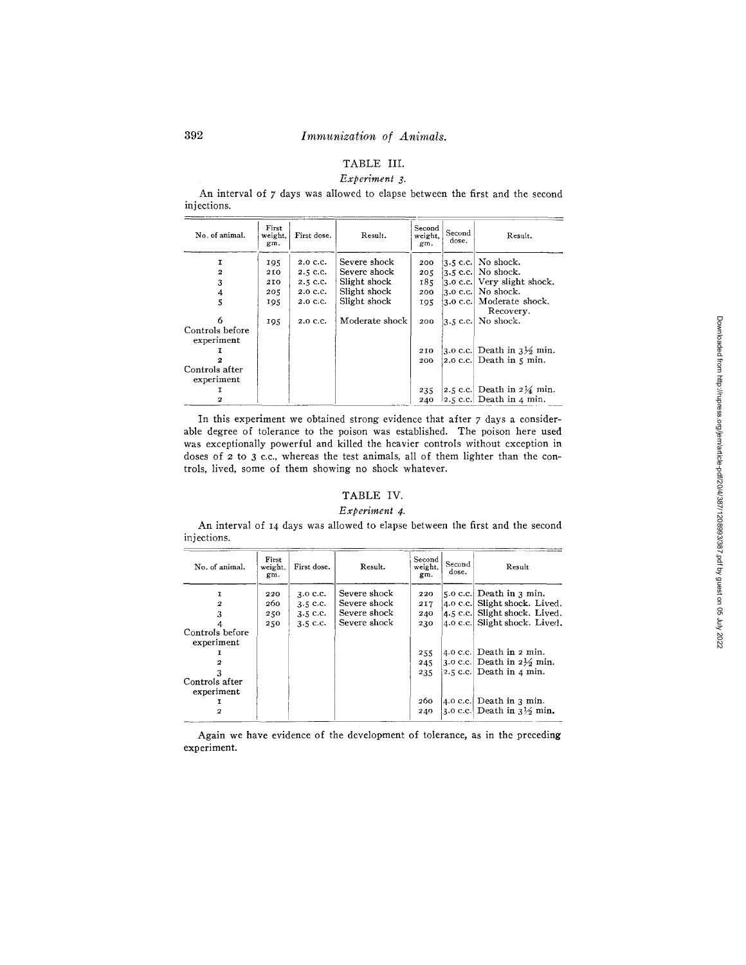# TABLE III. *Experiment 3.*

An interval of 7 days was allowed to elapse between the first and the second injections.

| No. of animal.               | First<br>weight.<br>gm. | First dose. | Result.        | Second<br>weight.<br>gm. | Second<br>dose. | Result.                                                                       |
|------------------------------|-------------------------|-------------|----------------|--------------------------|-----------------|-------------------------------------------------------------------------------|
| I                            | 195                     | 2.0 C.C.    | Severe shock   | 200                      |                 | $3.5$ c.c. $\vert$ No shock.                                                  |
| 2                            | 210                     | $2.5$ C.C.  | Severe shock   | 205                      |                 | $ 3.5 \text{ c.c.} $ No shock.                                                |
| 3                            | 210                     | $2.5$ C.C.  | Slight shock   | 185                      |                 | 3.0 c.c. Very slight shock.                                                   |
| 4                            | 205                     | 2.0 C.C.    | Slight shock   | 200                      |                 | $3.0$ c.c. No shock.                                                          |
| 5                            | 195                     | 2.0 C.C.    | Slight shock   | 195                      |                 | 3.0 c.c. Moderate shock,                                                      |
| 6<br>Controls before         | 195                     | 2.0 C.C.    | Moderate shock | 200                      |                 | Recovery.<br>$3.5$ c.c. No shock.                                             |
| experiment                   |                         |             |                | 210<br>200               |                 | 3.0 c.c. Death in $3\frac{1}{2}$ min.<br>$ 2.0 \text{ c.c.} $ Death in 5 min. |
| Controls after<br>experiment |                         |             |                |                          |                 |                                                                               |
|                              |                         |             |                | 235                      |                 | 2.5 c.c. Death in $2\frac{1}{4}$ min.                                         |
| 2                            |                         |             |                | 240                      |                 | $ 2.5 \text{ c.c.} $ Death in 4 min.                                          |

In this experiment we obtained strong evidence that after 7 days a considerable degree of tolerance to the poison was established. The poison here used was exceptionally powerful and killed the heavier controls without exception in doses of 2 to 3 c.c., whereas the test animals, all of them lighter than the controls, lived, some of them showing no shock whatever.

# TABLE IV.

## *Experiment 4.*

An interval of 14 days was allowed to elapse between the first and the second injections.

| No. of animal.                     | First<br>weight.<br>gm.  | First dose.                                          | Result.                                                      | Second<br>weight,<br>gm. | Second<br>dose. | Result.                                                                                                                |
|------------------------------------|--------------------------|------------------------------------------------------|--------------------------------------------------------------|--------------------------|-----------------|------------------------------------------------------------------------------------------------------------------------|
| I<br>2<br>3                        | 220<br>260<br>250<br>250 | $3.0$ c.c.<br>$3.5$ c.c.<br>$3.5$ c.c.<br>$3.5$ c.c. | Severe shock<br>Severe shock<br>Severe shock<br>Severe shock | 220<br>217<br>240<br>230 | $4.0$ c.c.      | $5.0$ c.c. Death in $3$ min.<br>Slight shock. Lived.<br>4.5 c.c. Slight shock. Lived.<br>4.0 c.c. Slight shock. Lived. |
| Controls before<br>experiment<br>2 |                          |                                                      |                                                              | 255<br>245<br>235        |                 | 4.0 c.c.  Death in 2 min.<br>3.0 c.c. Death in $2\frac{1}{2}$ min.<br>$ 2.5 \text{ c.c.} $ Death in 4 min.             |
| Controls after<br>experiment<br>2  |                          |                                                      |                                                              | 260<br>240               |                 | [4.0 c.c.] Death in 3 min.<br>3.0 c.c. Death in $3\frac{1}{2}$ min.                                                    |

Again we have evidence of the development of tolerance, as in the preceding experiment.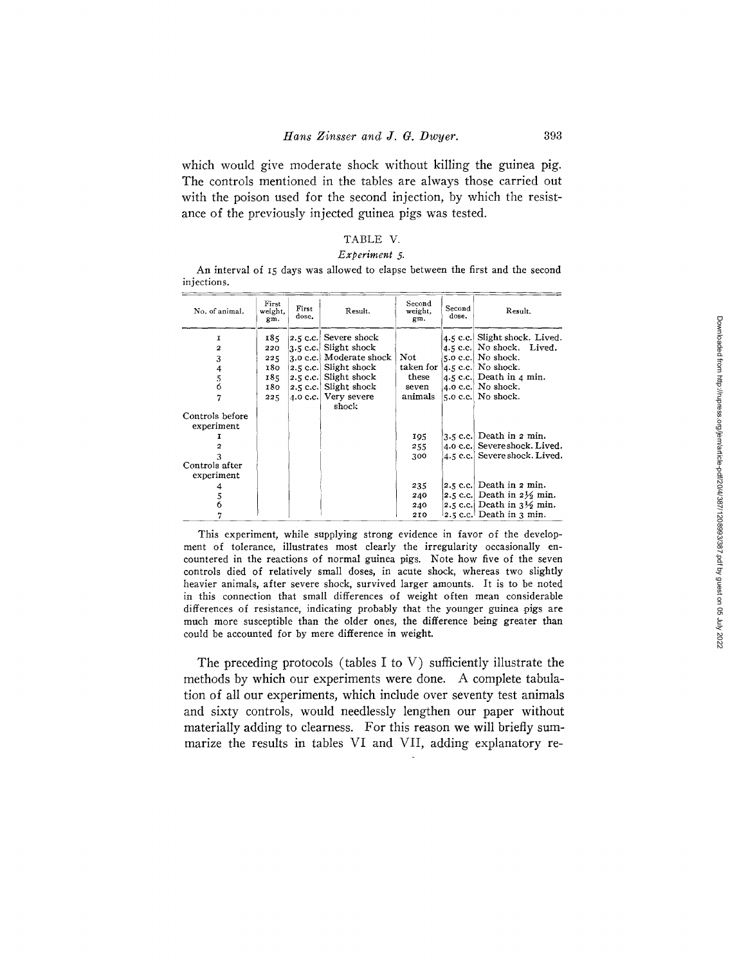which would give moderate shock without killing the guinea pig. The controls mentioned in the tables are always those carried out with the poison used for the second injection, by which the resistance of the previously injected guinea pigs was tested.

# TABLE V.

#### *Experiment 5.*

An interval of I5 days was allowed to elapse between the first and the second injections.

| No. of animal.                | First<br>weight,<br>gm. | First<br>dose. | Result.                           | Second<br>weight,<br>gm. | Second<br>dose. | Result.                               |
|-------------------------------|-------------------------|----------------|-----------------------------------|--------------------------|-----------------|---------------------------------------|
| I                             | 185                     |                | $ 2.5 \text{ c.c.} $ Severe shock |                          |                 | 4.5 c.c. Slight shock. Lived.         |
| 2                             | 220                     |                | $ 3.5$ c.c. Slight shock          |                          |                 | 4.5 c.c. No shock. Lived.             |
| 3                             | 225                     |                | 3.0 c.c.  Moderate shock          | Not                      |                 | 5.0 c.c. No shock.                    |
| 4                             | 180                     |                | 2.5 c.c. Slight shock             |                          |                 | taken for $ 4.5$ c.c. No shock.       |
| 5                             | 185                     |                | 2.5 c.c. Slight shock             | these                    |                 | 4.5 c.c. Death in 4 min.              |
| 6                             | 180.                    |                | 2.5 c.c. Slight shock             | seven                    |                 | 4.0 c.c. $\vert$ No shock.            |
|                               | 225                     |                | 4.0 c.c. Very severe<br>shock     | animals                  |                 | $5.0$ c.c. $\sqrt{N}$ shock.          |
| Controls before<br>experiment |                         |                |                                   |                          |                 |                                       |
|                               |                         |                |                                   | 195                      |                 | 3.5 c.c.  Death in 2 min.             |
|                               |                         |                |                                   | 255                      |                 | 4.0 c.c. Severe shock. Lived.         |
|                               |                         |                |                                   | 300                      |                 | 4.5 c.c. Severe shock. Lived.         |
| Controls after                |                         |                |                                   |                          |                 |                                       |
| experiment                    |                         |                |                                   |                          |                 |                                       |
|                               |                         |                |                                   | 235                      |                 | 2.5 c.c. Death in $2 \text{ min}$ .   |
| 5                             |                         |                |                                   | 240                      |                 | 2.5 c.c. Death in $2\frac{1}{2}$ min. |
|                               |                         |                |                                   | 240                      |                 | 2.5 c.c. Death in $3\frac{1}{2}$ min. |
| 7                             |                         |                |                                   | 210                      |                 | 2.5 c.c. Death in 3 min.              |

This experiment, while supplying strong evidence in favor of the development of tolerance, illustrates most clearly the irregularity occasionally encountered in the reactions of normal guinea pigs. Note how five of the seven controls died of relatively small doses, in acute shock, whereas two slightly heavier animals, after severe shock, survived larger amounts. It is to be noted in this connection that small differences of weight often mean considerable differences of resistance, indicating probably that the younger guinea pigs are much more susceptible than the older ones, the difference being greater than could be accounted for by mere difference in weight.

The preceding protocols (tables I to V) sufficiently illustrate the methods by which our experiments were done. A complete tabulation of all our experiments, which include over seventy test animals and sixty controls, would needlessly lengthen our paper without materially adding to clearness. For this reason we will briefly summarize the results in tables VI and VII, adding explanatory re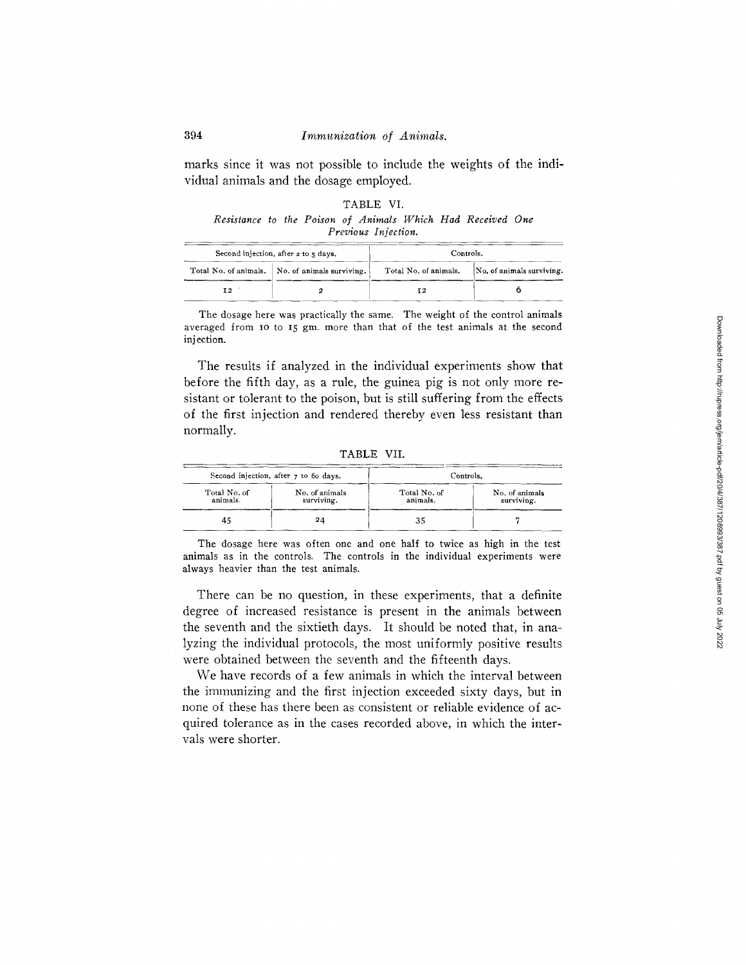marks since it was not possible to include the weights of the individual animals and the dosage employed.

TABLE VI. *Resistance to the Poison of Animals Which Had Received One Previous Injection.* 

|                                                 | Second injection, after 2 to 5 days. | Controls.             |                           |  |  |  |
|-------------------------------------------------|--------------------------------------|-----------------------|---------------------------|--|--|--|
| Total No. of animals. No. of animals surviving. |                                      | Total No. of animals. | No. of animals surviving. |  |  |  |
| T <sub>2</sub>                                  |                                      | 12                    |                           |  |  |  |

The dosage here was practically the same. The weight of the control animals averaged from IO to 15 gin. more than that of the test animals at the second inj ection.

The results if analyzed in the individual experiments show that before the fifth day, as a rule, the guinea pig is not only more resistant or tolerant to the poison, but is still suffering from the effects of the first injection and rendered thereby even less resistant than normally.

TABLE VII.

|                          | Second injection, after 7 to 60 days. | Controls.                |                              |  |
|--------------------------|---------------------------------------|--------------------------|------------------------------|--|
| Total No. of<br>animals. | No. of animals<br>surviving.          | Total No. of<br>animals. | No. of animals<br>surviving. |  |
| 45                       | 24                                    |                          |                              |  |

The dosage here was often one and one half to twice as high in the test animals as in the controls. The controls in the individual experiments were always heavier than the test animals.

There can be no question, in these experiments, that a definite degree of increased resistance is present in the animals between the seventh and the sixtieth days. It should be noted that, in analyzing the individual protocols, the most uniformly positive results were obtained between the seventh and the fifteenth days.

We have records of a few animals in which the interval between the immunizing and the first injection exceeded sixty days, but in none of these has there been as consistent or reliable evidence of acquired tolerance as in the cases recorded above, in which the intervals were shorter.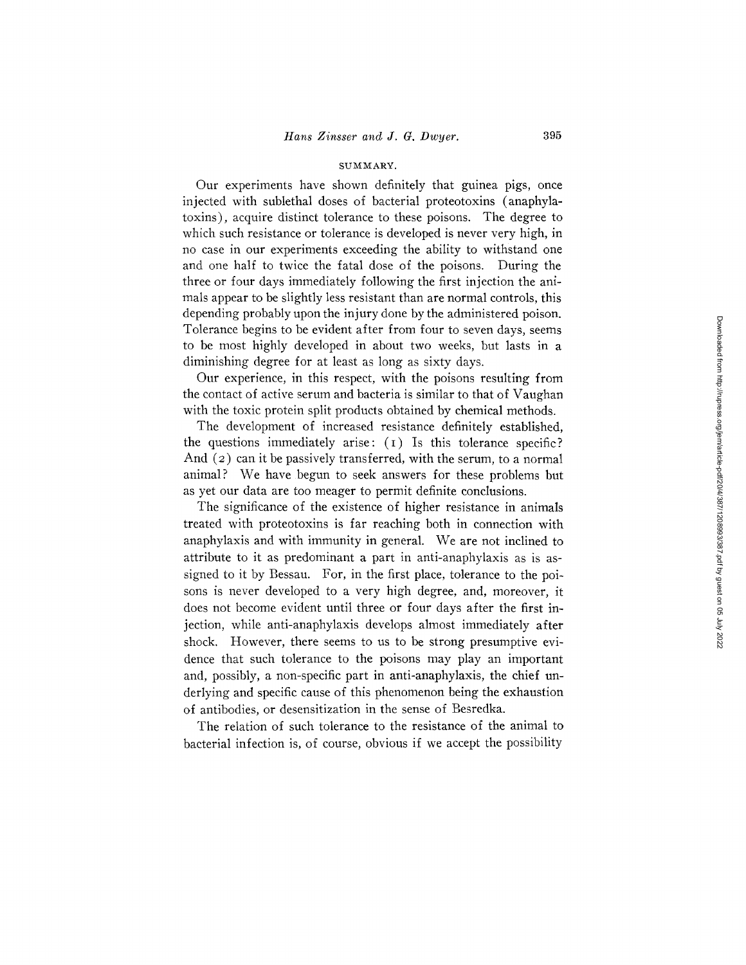### SUMMARY.

Our experiments have shown definitely that guinea pigs, once injected with sublethal doses of bacterial proteotoxins (anaphylatoxins), acquire distinct tolerance to these poisons. The degree to which such resistance or tolerance is developed is never very high, in no case in our experiments exceeding the ability to withstand one and one half to twice the fatal dose of the poisons. During the three or four days immediately following the first injection the animals appear to be slightly less resistant than are normal controls, this depending probably upon the injury done by the administered poison. Tolerance begins to be evident after from four to seven days, seems to be most highly developed in about two weeks, but lasts in a diminishing degree for at least as long as sixty days.

Our experience, in this respect, with the poisons resulting from the contact of active serum and bacteria is similar to that of Vaughan with the toxic protein split products obtained by chemical methods.

The development of increased resistance definitely established, the questions immediately arise:  $(I)$  Is this tolerance specific? And (2) can it be passively transferred, with the serum, to a normal animal? We have begun to seek answers for these problems but as yet our data are too meager to permit definite conclusions.

The significance of the existence of higher resistance in animals treated with proteotoxins is far reaching both in connection with anaphylaxis and with immunity in general. We are not inclined to attribute to it as predominant a part in anti-anaphylaxis as is assigned to it by Bessau. For, in the first place, tolerance to the poisons is never developed to a very high degree, and, moreover, it does not become evident until three or four days after the first injection, while anti-anaphylaxis develops almost immediately after shock. However, there seems to us to be strong presumptive evidence that such tolerance to the poisons may play an important and, possibly, a non-specific part in anti-anaphylaxis, the chief underlying and specific cause of this phenomenon being the exhaustion of antibodies, or desensitization in the sense of Besredka.

The relation of such tolerance to the resistance of the animal to bacterial infection is, of course, obvious if we accept the possibility